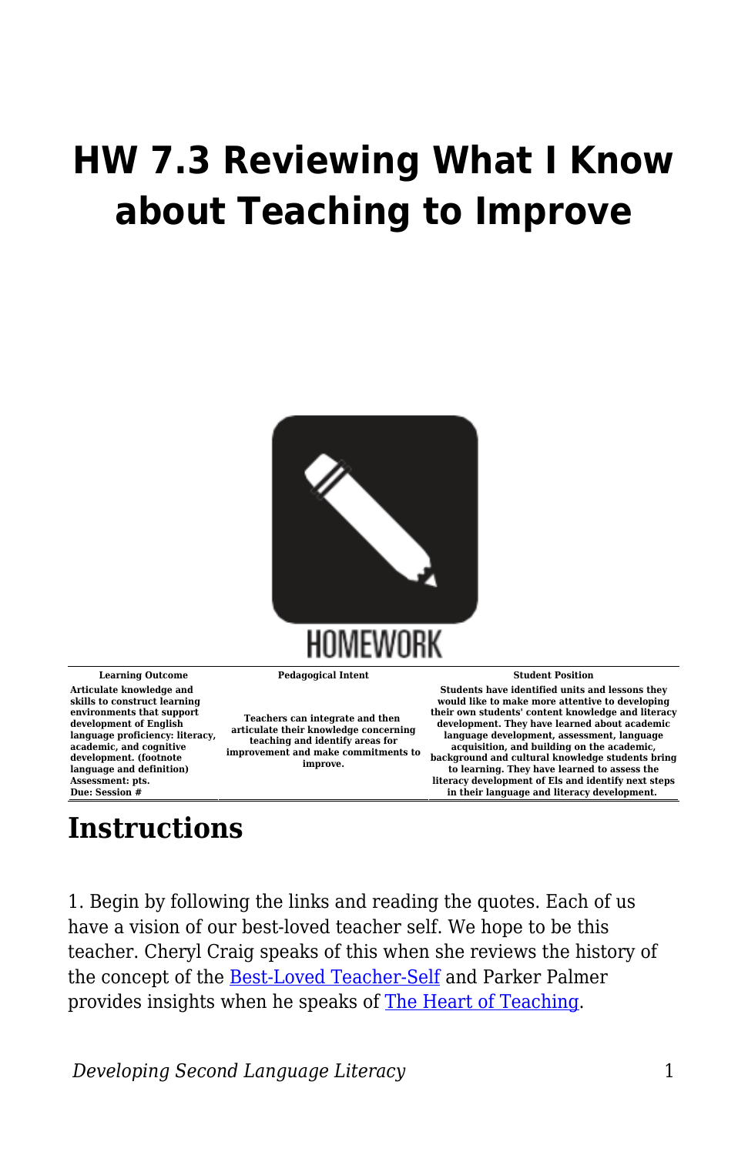## **HW 7.3 Reviewing What I Know about Teaching to Improve**



**Articulate knowledge and skills to construct learning environments that support development of English language proficiency: literacy, academic, and cognitive development. (footnote language and definition) Assessment: pts. Due: Session #**

**Teachers can integrate and then articulate their knowledge concerning teaching and identify areas for improvement and make commitments to improve.**

**Learning Outcome Pedagogical Intent Student Position**

**Students have identified units and lessons they would like to make more attentive to developing their own students' content knowledge and literacy development. They have learned about academic language development, assessment, language acquisition, and building on the academic, background and cultural knowledge students bring to learning. They have learned to assess the literacy development of Els and identify next steps in their language and literacy development.** 

## **Instructions**

1. Begin by following the links and reading the quotes. Each of us have a vision of our best-loved teacher self. We hope to be this teacher. Cheryl Craig speaks of this when she reviews the history of the concept of the **[Best-Loved Teacher-Self](https://byu.box.com/s/8669i2a878z4ms4wcw8ty18ui3k94p9l)** and Parker Palmer provides insights when he speaks of [The Heart of Teaching.](https://byu.box.com/s/ys6xqztvjf4bc2fd2rtfthxdcc52v4e8)